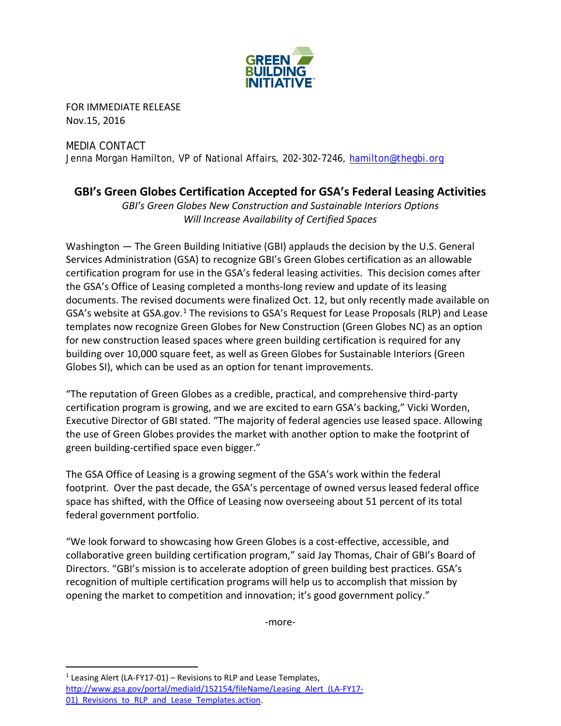

FOR IMMEDIATE RELEASE Nov.15, 2016

## MEDIA CONTACT Jenna Morgan Hamilton, VP of National Affairs, 202-302-7246, [hamilton@thegbi.org](mailto:hamilton@thegbi.org)

## **GBI's Green Globes Certification Accepted for GSA's Federal Leasing Activities**

*GBI's Green Globes New Construction and Sustainable Interiors Options Will Increase Availability of Certified Spaces*

Washington — The Green Building Initiative (GBI) applauds the decision by the U.S. General Services Administration (GSA) to recognize GBI's Green Globes certification as an allowable certification program for use in the GSA's federal leasing activities. This decision comes after the GSA's Office of Leasing completed a months-long review and update of its leasing documents. The revised documents were finalized Oct. 12, but only recently made available on GSA's website at GSA.gov.<sup>[1](#page-0-0)</sup> The revisions to GSA's Request for Lease Proposals (RLP) and Lease templates now recognize Green Globes for New Construction (Green Globes NC) as an option for new construction leased spaces where green building certification is required for any building over 10,000 square feet, as well as Green Globes for Sustainable Interiors (Green Globes SI), which can be used as an option for tenant improvements.

"The reputation of Green Globes as a credible, practical, and comprehensive third-party certification program is growing, and we are excited to earn GSA's backing," Vicki Worden, Executive Director of GBI stated. "The majority of federal agencies use leased space. Allowing the use of Green Globes provides the market with another option to make the footprint of green building-certified space even bigger."

The GSA Office of Leasing is a growing segment of the GSA's work within the federal footprint. Over the past decade, the GSA's percentage of owned versus leased federal office space has shifted, with the Office of Leasing now overseeing about 51 percent of its total federal government portfolio.

"We look forward to showcasing how Green Globes is a cost-effective, accessible, and collaborative green building certification program," said Jay Thomas, Chair of GBI's Board of Directors. "GBI's mission is to accelerate adoption of green building best practices. GSA's recognition of multiple certification programs will help us to accomplish that mission by opening the market to competition and innovation; it's good government policy."

-more-

<span id="page-0-0"></span><sup>1</sup> Leasing Alert (LA-FY17-01) – Revisions to RLP and Lease Templates, http://www.gsa.gov/portal/mediaId/152154/fileName/Leasing Alert (LA-FY17-01) Revisions to RLP and Lease Templates.action.